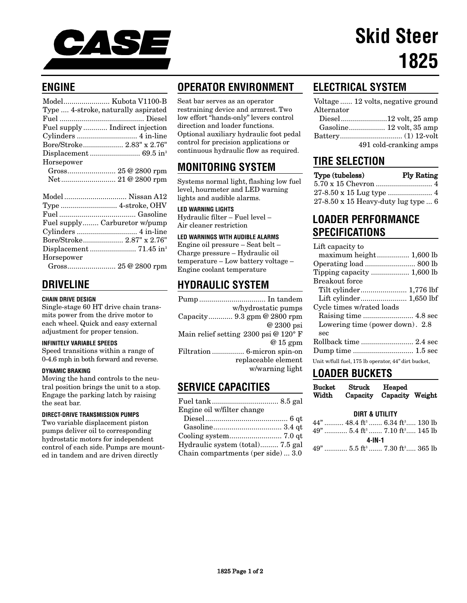

## **ENGINE**

| Model Kubota V1100-B                |  |
|-------------------------------------|--|
| Type  4-stroke, naturally aspirated |  |
|                                     |  |
| Fuel supply Indirect injection      |  |
|                                     |  |
| Bore/Stroke 2.83" x 2.76"           |  |
|                                     |  |
| Horsepower                          |  |
|                                     |  |
| Net 21 @ 2800 rpm                   |  |
|                                     |  |
|                                     |  |

|            | Fuel supply Carburetor w/pump             |
|------------|-------------------------------------------|
|            |                                           |
|            | Bore/Stroke 2.87" x 2.76"                 |
|            |                                           |
| Horsepower |                                           |
|            | $\sim$ $\sim$ $\sim$ $\sim$ $\sim$ $\sim$ |

Gross........................ 25 @ 2800 rpm

# **DRIVELINE**

### **CHAIN DRIVE DESIGN**

Single-stage 60 HT drive chain transmits power from the drive motor to each wheel. Quick and easy external adjustment for proper tension.

#### **INFINITELY VARIABLE SPEEDS**

Speed transitions within a range of 0-4.6 mph in both forward and reverse.

#### **DYNAMIC BRAKING**

Moving the hand controls to the neutral position brings the unit to a stop. Engage the parking latch by raising the seat bar.

### **DIRECT-DRIVE TRANSMISSION PUMPS**

Two variable displacement piston pumps deliver oil to corresponding hydrostatic motors for independent control of each side. Pumps are mounted in tandem and are driven directly

# **OPERATOR ENVIRONMENT**

Seat bar serves as an operator restraining device and armrest. Two low effort "hands-only" levers control direction and loader functions. Optional auxiliary hydraulic foot pedal control for precision applications or continuous hydraulic flow as required.

# **MONITORING SYSTEM**

Systems normal light, flashing low fuel level, hourmeter and LED warning lights and audible alarms.

**LED WARNING LIGHTS** Hydraulic filter – Fuel level – Air cleaner restriction

### **LED WARNINGS WITH AUDIBLE ALARMS**

Engine oil pressure – Seat belt – Charge pressure – Hydraulic oil temperature – Low battery voltage – Engine coolant temperature

# **HYDRAULIC SYSTEM**

| Pump  In tandem                      |
|--------------------------------------|
| w/hydrostatic pumps                  |
| Capacity 9.3 gpm @ 2800 rpm          |
| @ 2300 psi                           |
| Main relief setting 2300 psi @ 120°F |
| $@15$ gpm                            |
| Filtration  6-micron spin-on         |
| replaceable element                  |
| w/warning light                      |
|                                      |

### **SERVICE CAPACITIES**

| Engine oil w/filter change                |  |
|-------------------------------------------|--|
|                                           |  |
|                                           |  |
|                                           |  |
| Hydraulic system (total) 7.5 gal          |  |
| Chain compartments (per side) $\dots$ 3.0 |  |

# **ELECTRICAL SYSTEM**

|                   | Voltage  12 volts, negative ground |
|-------------------|------------------------------------|
| $\rm{Alternator}$ |                                    |
|                   | Diesel12 volt, 25 amp              |

| Gasoline 12 volt, 35 amp |  |
|--------------------------|--|
|                          |  |
| 491 cold-cranking amps   |  |

### **TIRE SELECTION**

| Type (tubeless)                     | <b>Ply Rating</b> |
|-------------------------------------|-------------------|
|                                     |                   |
|                                     |                   |
| 27-8.50 x 15 Heavy-duty lug type  6 |                   |

# **LOADER PERFORMANCE SPECIFICATIONS**

| Lift capacity to                                    |
|-----------------------------------------------------|
| maximum height 1,600 lb                             |
|                                                     |
|                                                     |
| Breakout force                                      |
|                                                     |
|                                                     |
| Cycle times w/rated loads                           |
|                                                     |
| Lowering time (power down). 2.8                     |
| sec                                                 |
|                                                     |
|                                                     |
| Unit w/full fuel, 175 lb operator, 44" dirt bucket, |

## **LOADER BUCKETS**

| Bucket | Struck | Heaped                   |  |
|--------|--------|--------------------------|--|
| Width  |        | Capacity Capacity Weight |  |

### **DIRT & UTILITY**

|        | $44$ " $48.4 \text{ ft}^3$ $6.34 \text{ ft}^3$ $130 \text{ lb}$<br>$49$ " $5.4 \text{ ft}^3$ $7.10 \text{ ft}^3$ $145 \text{ lb}$ |  |  |
|--------|-----------------------------------------------------------------------------------------------------------------------------------|--|--|
| 4-IN-1 |                                                                                                                                   |  |  |
|        | $49$ " $5.5$ ft <sup>3</sup> $7.30$ ft <sup>3</sup> $365$ lb                                                                      |  |  |